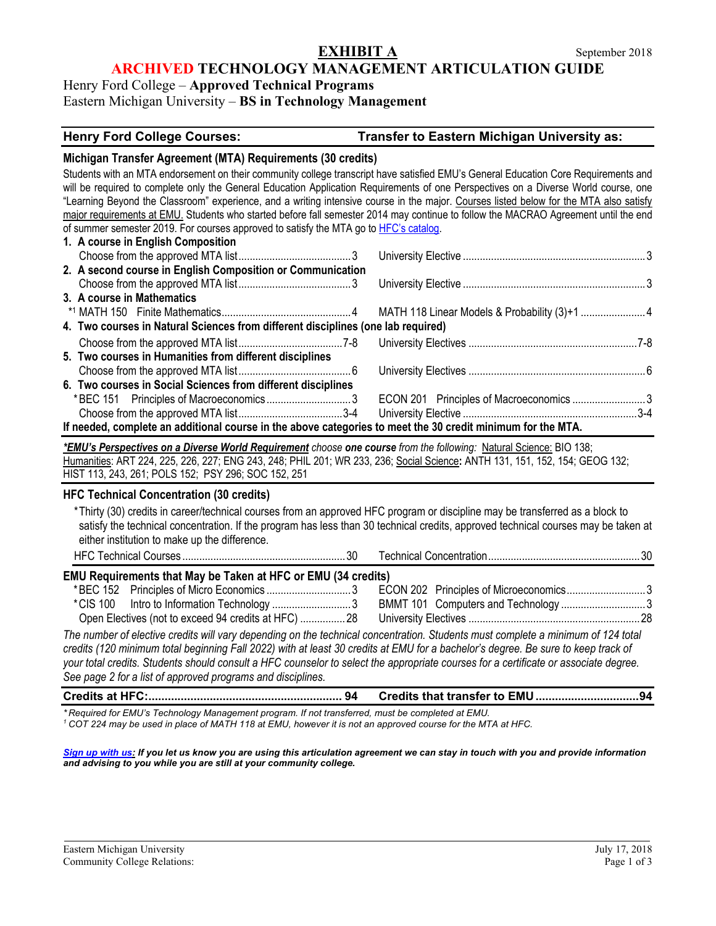### **EXHIBIT A** September 2018 **ARCHIVED TECHNOLOGY MANAGEMENT ARTICULATION GUIDE**

## Henry Ford College – **Approved Technical Programs** Eastern Michigan University – **BS in Technology Management**

#### **Henry Ford College Courses: Transfer to Eastern Michigan University as:**

#### **Michigan Transfer Agreement (MTA) Requirements (30 credits)**

Students with an MTA endorsement on their community college transcript have satisfied EMU's General Education Core Requirements and will be required to complete only the General Education Application Requirements of one Perspectives on a Diverse World course, one "Learning Beyond the Classroom" experience, and a writing intensive course in the major. Courses listed below for the MTA also satisfy major requirements at EMU. Students who started before fall semester 2014 may continue to follow the MACRAO Agreement until the end of summer semester 2019. For courses approved to satisfy the MTA go t[o HFC's catalog.](https://catalog.hfcc.edu/degrees/gen-ed) 

| 1. A course in English Composition                                                                          |  |
|-------------------------------------------------------------------------------------------------------------|--|
|                                                                                                             |  |
| 2. A second course in English Composition or Communication                                                  |  |
|                                                                                                             |  |
| 3. A course in Mathematics                                                                                  |  |
|                                                                                                             |  |
| 4. Two courses in Natural Sciences from different disciplines (one lab required)                            |  |
|                                                                                                             |  |
| 5. Two courses in Humanities from different disciplines                                                     |  |
|                                                                                                             |  |
| 6. Two courses in Social Sciences from different disciplines                                                |  |
|                                                                                                             |  |
|                                                                                                             |  |
| If needed, complete an additional course in the above categories to meet the 30 credit minimum for the MTA. |  |

*\*EMU's Perspectives on a Diverse World Requirement choose one course from the following:* Natural Science: BIO 138; Humanities: ART 224, 225, 226, 227; ENG 243, 248; PHIL 201; WR 233, 236; Social Science**:** ANTH 131, 151, 152, 154; GEOG 132; HIST 113, 243, 261; POLS 152; PSY 296; SOC 152, 251

#### **HFC Technical Concentration (30 credits)**

\*Thirty (30) credits in career/technical courses from an approved HFC program or discipline may be transferred as a block to satisfy the technical concentration. If the program has less than 30 technical credits, approved technical courses may be taken at either institution to make up the difference.

HFC Technical Courses ..........................................................30 Technical Concentration......................................................30 **EMU Requirements that May be Taken at HFC or EMU (34 credits)** \*BEC 152 Principles of Micro Economics ..............................3 ECON 202 Principles of Microeconomics............................3 \*CIS 100 Intro to Information Technology ............................3 BMMT 101 Computers and Technology ..............................3 Open Electives (not to exceed 94 credits at HFC) ................28 University Electives .............................................................28 *The number of elective credits will vary depending on the technical concentration. Students must complete a minimum of 124 total credits (120 minimum total beginning Fall 2022) with at least 30 credits at EMU for a bachelor's degree. Be sure to keep track of your total credits. Students should consult a HFC counselor to select the appropriate courses for a certificate or associate degree.* 

*See page 2 for a list of approved programs and disciplines.*

**Credits at HFC:............................................................ 94 Credits that transfer to EMU................................94**

*\* Required for EMU's Technology Management program. If not transferred, must be completed at EMU.*

*<sup>1</sup> COT 224 may be used in place of MATH 118 at EMU, however it is not an approved course for the MTA at HFC.*

*[Sign up with us:](http://www.emich.edu/ccr/articulation-agreements/signup.php) If you let us know you are using this articulation agreement we can stay in touch with you and provide information and advising to you while you are still at your community college.*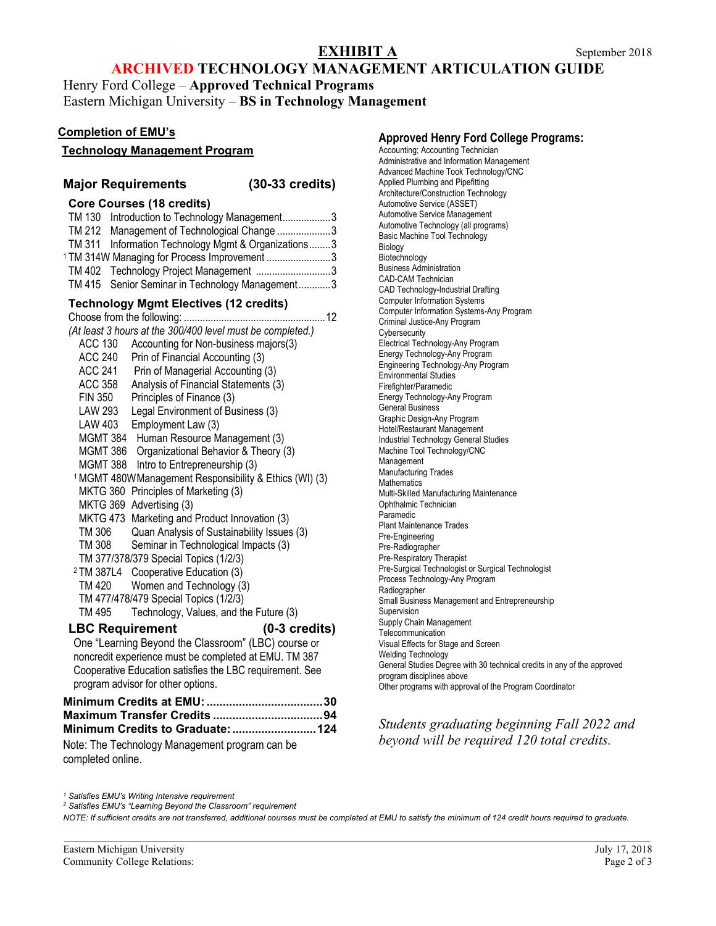# **EXHIBIT A** September 2018

## **ARCHIVED TECHNOLOGY MANAGEMENT ARTICULATION GUIDE**

Henry Ford College – **Approved Technical Programs** Eastern Michigan University – **BS in Technology Management**

#### **Completion of EMU's**

#### **Technology Management Program**

#### **Major Requirements (30-33 credits)**

#### **Core Courses (18 credits)**

TM 130 Introduction to Technology Management..................3 TM 212 Management of Technological Change ....................3 TM 311 Information Technology Mgmt & Organizations........3 <sup>1</sup> TM 314W Managing for Process Improvement ........................3 TM 402 Technology Project Management ............................3 TM 415 Senior Seminar in Technology Management............3 **Technology Mgmt Electives (12 credits)**  Choose from the following: .....................................................12 *(At least 3 hours at the 300/400 level must be completed.)* ACC 130 Accounting for Non-business majors(3) ACC 240 Prin of Financial Accounting (3) ACC 241 Prin of Managerial Accounting (3) ACC 358 Analysis of Financial Statements (3) FIN 350 Principles of Finance (3) LAW 293 Legal Environment of Business (3) LAW 403 Employment Law (3) MGMT 384 Human Resource Management (3) MGMT 386 Organizational Behavior & Theory (3) MGMT 388 Intro to Entrepreneurship (3) 1MGMT 480WManagement Responsibility & Ethics (WI) (3) MKTG 360 Principles of Marketing (3) MKTG 369 Advertising (3) MKTG 473 Marketing and Product Innovation (3) TM 306 Quan Analysis of Sustainability Issues (3)<br>TM 308 Seminar in Technological Impacts (3) Seminar in Technological Impacts (3) TM 377/378/379 Special Topics (1/2/3) <sup>2</sup> TM 387L4 Cooperative Education (3) TM 420 Women and Technology (3) TM 477/478/479 Special Topics (1/2/3) TM 495 Technology, Values, and the Future (3) **LBC Requirement (0-3 credits)** One "Learning Beyond the Classroom" (LBC) course or noncredit experience must be completed at EMU. TM 387 Cooperative Education satisfies the LBC requirement. See program advisor for other options. **Minimum Credits at EMU:....................................30 Maximum Transfer Credits ..................................94 Minimum Credits to Graduate:..........................124**

Note: The Technology Management program can be completed online.

**Approved Henry Ford College Programs:** Accounting; Accounting Technician Administrative and Information Management Advanced Machine Took Technology/CNC Applied Plumbing and Pipefitting Architecture/Construction Technology Automotive Service (ASSET) Automotive Service Management Automotive Technology (all programs) Basic Machine Tool Technology Biology Biotechnology Business Administration CAD-CAM Technician CAD Technology-Industrial Drafting Computer Information Systems Computer Information Systems-Any Program Criminal Justice-Any Program **Cybersecurity** Electrical Technology-Any Program Energy Technology-Any Program Engineering Technology-Any Program Environmental Studies Firefighter/Paramedic Energy Technology-Any Program General Business Graphic Design-Any Program Hotel/Restaurant Management Industrial Technology General Studies Machine Tool Technology/CNC Management Manufacturing Trades **Mathematics** Multi-Skilled Manufacturing Maintenance Ophthalmic Technician Paramedic Plant Maintenance Trades Pre-Engineering Pre-Radiographer Pre-Respiratory Therapist Pre-Surgical Technologist or Surgical Technologist Process Technology-Any Program Radiographer Small Business Management and Entrepreneurship Supervision Supply Chain Management **Telecommunication** Visual Effects for Stage and Screen Welding Technology General Studies Degree with 30 technical credits in any of the approved program disciplines above Other programs with approval of the Program Coordinator

*Students graduating beginning Fall 2022 and beyond will be required 120 total credits.*

*<sup>1</sup> Satisfies EMU's Writing Intensive requirement*

*<sup>2</sup> Satisfies EMU's "Learning Beyond the Classroom" requirement*

*NOTE: If sufficient credits are not transferred, additional courses must be completed at EMU to satisfy the minimum of 124 credit hours required to graduate.*

Eastern Michigan University July 17, 2018 Community College Relations: Page 2 of 3